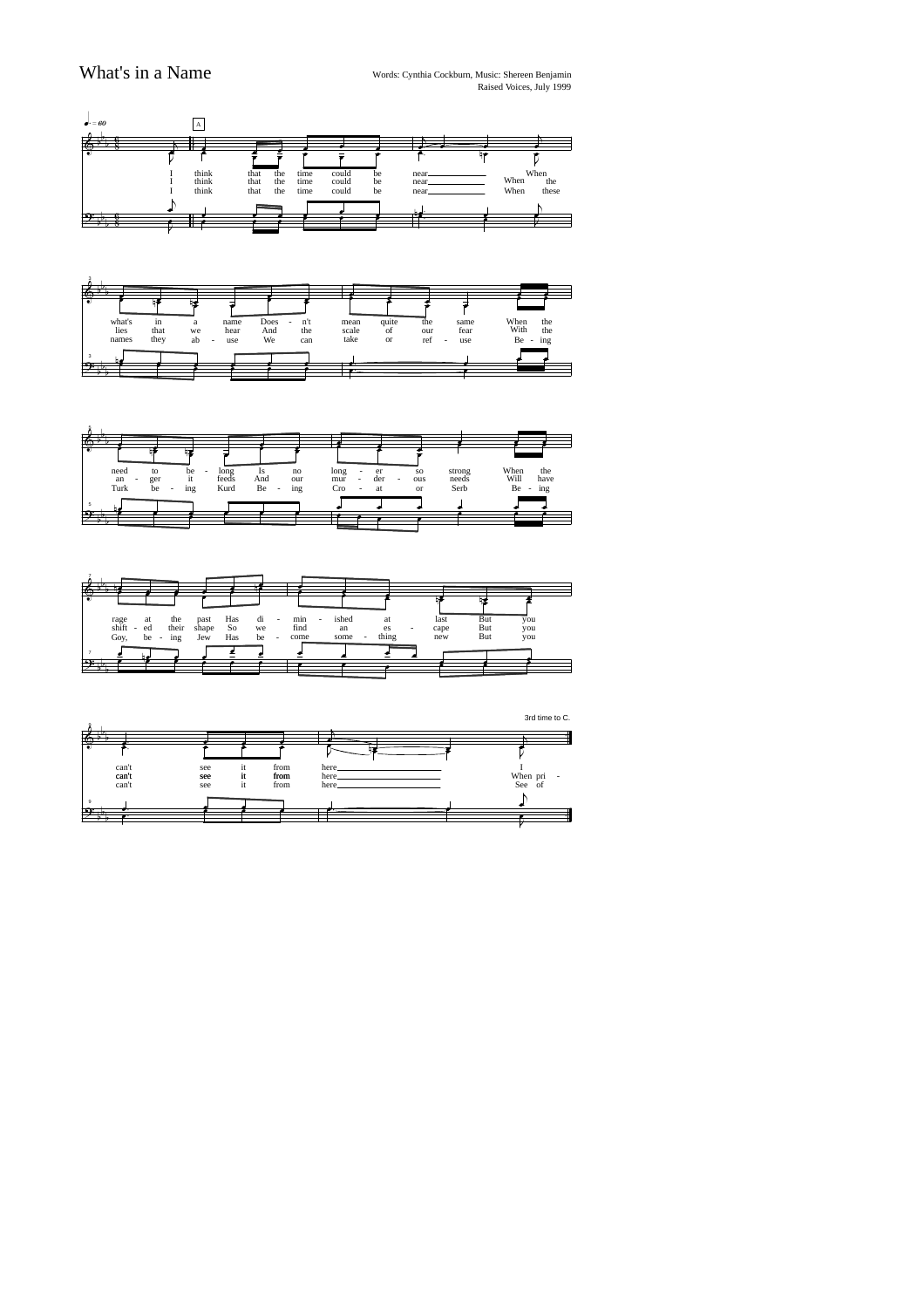What's in a Name<br>
Words: Cynthia Cockburn, Music: Shereen Benjamin<br>
Raised Voices, July 1999

| $\bullet$ = 60     | A              |              |            |              |                |          |                |      |             |
|--------------------|----------------|--------------|------------|--------------|----------------|----------|----------------|------|-------------|
| $\rightarrow$<br>Œ |                |              |            |              |                |          |                |      |             |
| $\bullet$          |                |              |            |              |                |          |                |      |             |
|                    | think<br>think | that<br>that | the<br>the | time<br>time | could<br>could | be<br>be | near.<br>near_ | When | When<br>the |
|                    | think          | that         | the        | time         | could          | be       | near.          | When | these       |
| P÷                 |                |              |            |              |                |          | Τ,             |      |             |
|                    |                |              |            |              |                |          |                |      |             |



| ⊕                                          |                         | ш                    | q,              |                            |                      |                  |                    |                                                  |                             |                         |                                                                      |
|--------------------------------------------|-------------------------|----------------------|-----------------|----------------------------|----------------------|------------------|--------------------|--------------------------------------------------|-----------------------------|-------------------------|----------------------------------------------------------------------|
|                                            | need<br>an<br>٠<br>Turk | to<br>ger<br>be<br>٠ | be<br>it<br>ing | long<br>٠<br>feeds<br>Kurd | 1s<br>And<br>Be<br>٠ | no<br>our<br>ing | long<br>mur<br>Cro | er<br>der<br>٠<br>at<br>$\overline{\phantom{a}}$ | <b>SO</b><br>ous<br>٠<br>or | strong<br>needs<br>Serb | When<br>the<br>Will<br>have<br>Be<br>ing<br>$\overline{\phantom{a}}$ |
| 5<br><b>RE</b><br>$\overline{\phantom{a}}$ |                         |                      |                 |                            |                      |                  |                    |                                                  |                             |                         |                                                                      |